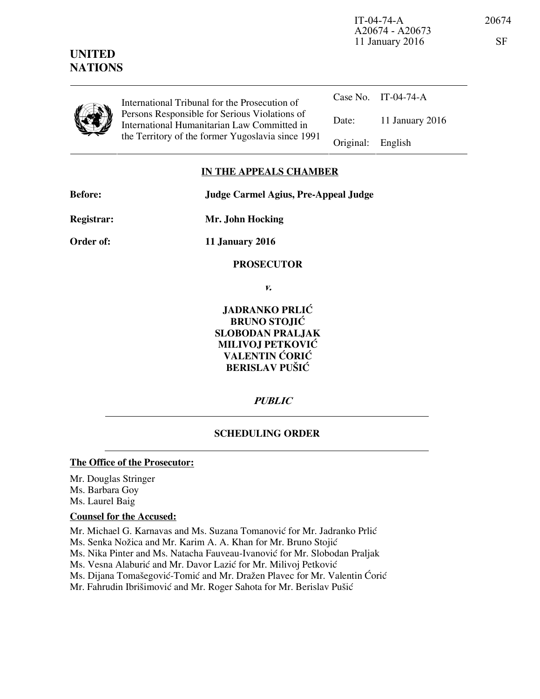IT-04-74-A 20674 A20674 - A20673 11 January 2016

| ٠<br>I<br>I<br>۰.<br>v |  |
|------------------------|--|
|                        |  |

**UNITED NATIONS**

> International Tribunal for the Prosecution of Persons Responsible for Serious Violations of International Humanitarian Law Committed in the Territory of the former Yugoslavia since 1991

|                   | Case No. IT-04-74-A |
|-------------------|---------------------|
| Date:             | 11 January 2016     |
| Original: English |                     |

## **IN THE APPEALS CHAMBER**

**Before: Judge Carmel Agius, Pre-Appeal Judge** 

**Registrar: Mr. John Hocking** 

**Order of: 11 January 2016** 

### **PROSECUTOR**

**v.** 

**JADRANKO PRLIĆ BRUNO STOJIĆ SLOBODAN PRALJAK MILIVOJ PETKOVIĆ VALENTIN ĆORIĆ BERISLAV PUŠIĆ** 

**PUBLIC** 

# **SCHEDULING ORDER**

### **The Office of the Prosecutor:**

Mr. Douglas Stringer Ms. Barbara Goy Ms. Laurel Baig

### **Counsel for the Accused:**

Mr. Michael G. Karnavas and Ms. Suzana Tomanović for Mr. Jadranko Prlić

Ms. Senka Nožica and Mr. Karim A. A. Khan for Mr. Bruno Stojić

Ms. Nika Pinter and Ms. Natacha Fauveau-Ivanović for Mr. Slobodan Praljak

Ms. Vesna Alaburić and Mr. Davor Lazić for Mr. Milivoj Petković

Ms. Dijana Tomašegović-Tomić and Mr. Dražen Plavec for Mr. Valentin Ćorić

Mr. Fahrudin Ibrišimović and Mr. Roger Sahota for Mr. Berislav Pušić